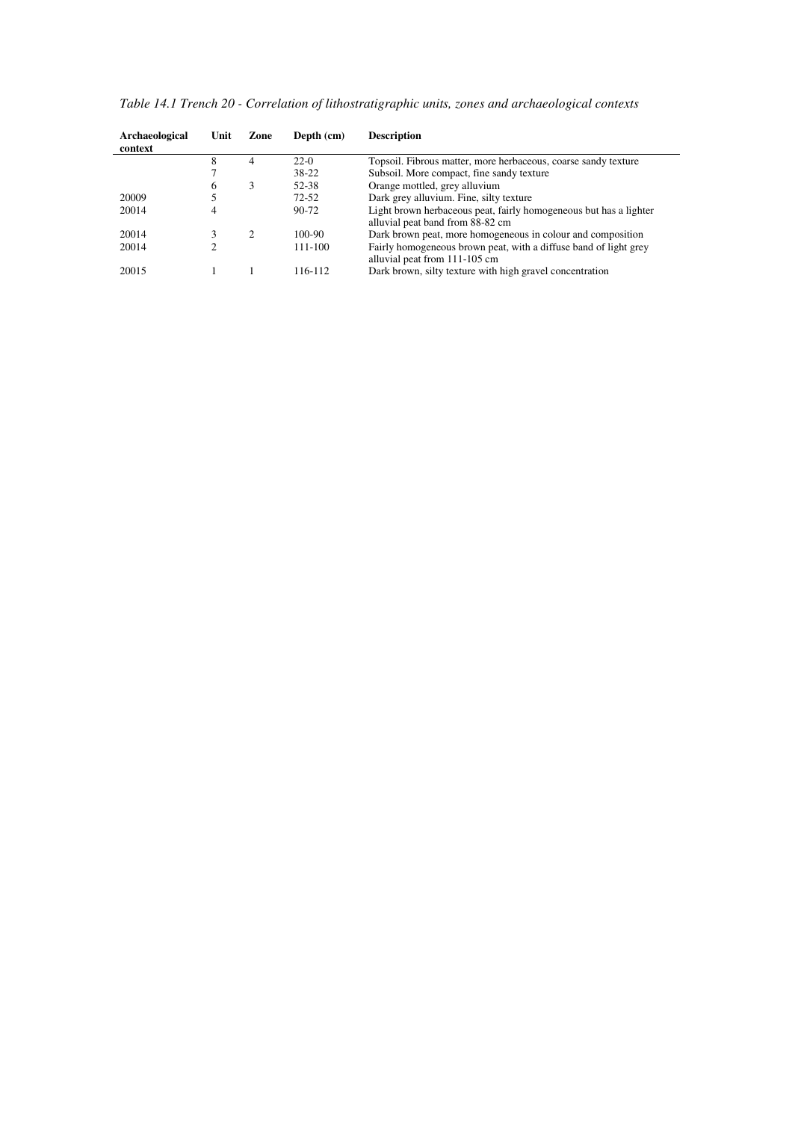*Table 14.1 Trench 20 - Correlation of lithostratigraphic units, zones and archaeological contexts* 

| Archaeological<br>context | Unit | Zone                        | Depth (cm) | <b>Description</b>                                                |
|---------------------------|------|-----------------------------|------------|-------------------------------------------------------------------|
|                           | 8    | 4                           | $22-0$     | Topsoil. Fibrous matter, more herbaceous, coarse sandy texture    |
|                           |      |                             | 38-22      | Subsoil. More compact, fine sandy texture                         |
|                           | 6    | 3                           | 52-38      | Orange mottled, grey alluvium                                     |
| 20009                     |      |                             | $72 - 52$  | Dark grey alluvium. Fine, silty texture                           |
| 20014                     |      |                             | 90-72      | Light brown herbaceous peat, fairly homogeneous but has a lighter |
|                           |      |                             |            | alluvial peat band from 88-82 cm                                  |
| 20014                     |      | $\mathcal{D}_{\mathcal{L}}$ | 100-90     | Dark brown peat, more homogeneous in colour and composition       |
| 20014                     |      |                             | 111-100    | Fairly homogeneous brown peat, with a diffuse band of light grey  |
|                           |      |                             |            | alluvial peat from 111-105 cm                                     |
| 20015                     |      |                             | 116-112    | Dark brown, silty texture with high gravel concentration          |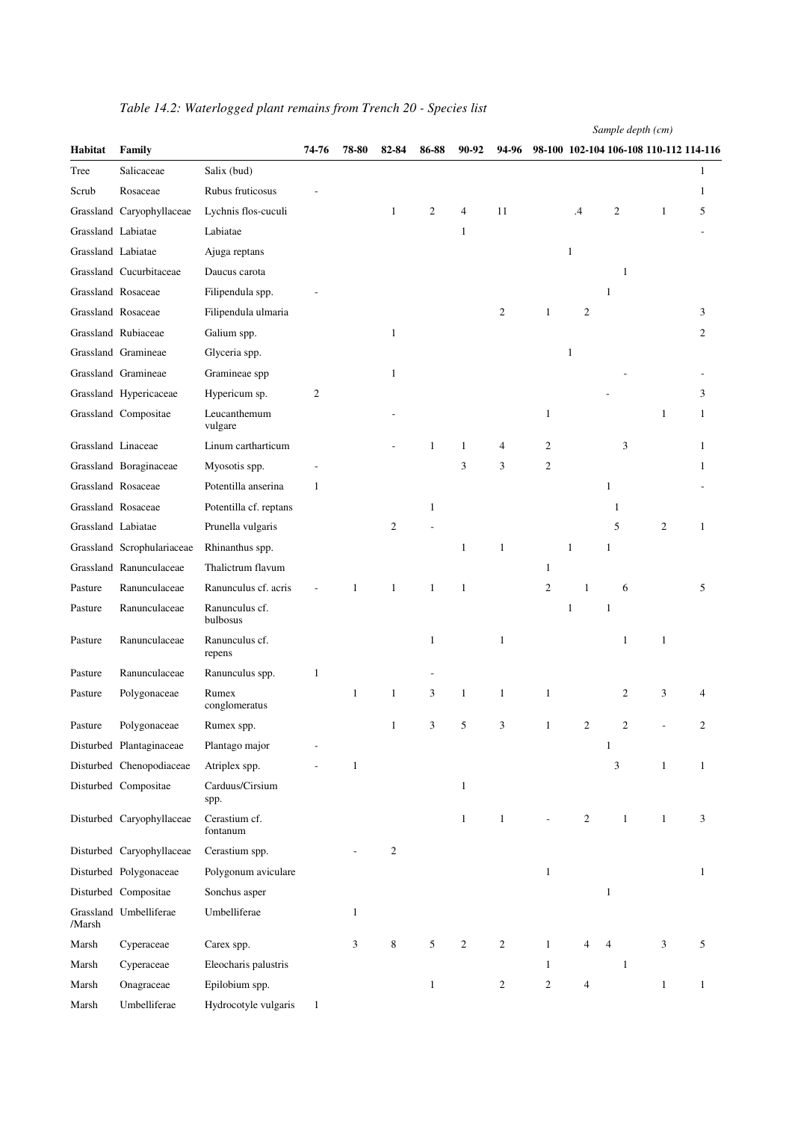| Habitat            | Family                     |                            | 74-76        | 78-80        | 82-84        | 86-88        | 90-92        | 94-96          |                |                  | 98-100 102-104 106-108 110-112 114-116 |                |              |
|--------------------|----------------------------|----------------------------|--------------|--------------|--------------|--------------|--------------|----------------|----------------|------------------|----------------------------------------|----------------|--------------|
| Tree               | Salicaceae                 | Salix (bud)                |              |              |              |              |              |                |                |                  |                                        |                | $\mathbf{1}$ |
| Scrub              | Rosaceae                   | Rubus fruticosus           |              |              |              |              |              |                |                |                  |                                        |                | 1            |
|                    | Grassland Caryophyllaceae  | Lychnis flos-cuculi        |              |              | $\mathbf{1}$ | 2            | 4            | 11             |                | $\cdot$          | $\overline{2}$                         | 1              | 5            |
| Grassland Labiatae |                            | Labiatae                   |              |              |              |              | $\mathbf{1}$ |                |                |                  |                                        |                |              |
| Grassland Labiatae |                            | Ajuga reptans              |              |              |              |              |              |                |                | $\mathbf{1}$     |                                        |                |              |
|                    | Grassland Cucurbitaceae    | Daucus carota              |              |              |              |              |              |                |                |                  | -1                                     |                |              |
| Grassland Rosaceae |                            | Filipendula spp.           |              |              |              |              |              |                |                |                  | 1                                      |                |              |
| Grassland Rosaceae |                            | Filipendula ulmaria        |              |              |              |              |              | $\overline{c}$ | $\mathbf{1}$   | $\mathfrak{2}$   |                                        |                | 3            |
|                    | Grassland Rubiaceae        | Galium spp.                |              |              | $\mathbf{1}$ |              |              |                |                |                  |                                        |                | 2            |
|                    | Grassland Gramineae        | Glyceria spp.              |              |              |              |              |              |                |                | 1                |                                        |                |              |
|                    | Grassland Gramineae        | Gramineae spp              |              |              | $\mathbf{1}$ |              |              |                |                |                  |                                        |                |              |
|                    | Grassland Hypericaceae     | Hypericum sp.              | 2            |              |              |              |              |                |                |                  |                                        |                | 3            |
|                    | Grassland Compositae       | Leucanthemum<br>vulgare    |              |              |              |              |              |                | $\mathbf{1}$   |                  |                                        | 1              | 1            |
| Grassland Linaceae |                            | Linum cartharticum         |              |              |              | 1            | 1            | 4              | 2              |                  | 3                                      |                | 1            |
|                    | Grassland Boraginaceae     | Myosotis spp.              |              |              |              |              | 3            | 3              | $\overline{c}$ |                  |                                        |                | 1            |
|                    | Grassland Rosaceae         | Potentilla anserina        | $\mathbf{1}$ |              |              |              |              |                |                |                  | 1                                      |                |              |
|                    | Grassland Rosaceae         | Potentilla cf. reptans     |              |              |              | 1            |              |                |                |                  | 1                                      |                |              |
| Grassland Labiatae |                            | Prunella vulgaris          |              |              | 2            |              |              |                |                |                  | 5                                      | $\overline{c}$ | $\mathbf{1}$ |
|                    | Grassland Scrophulariaceae | Rhinanthus spp.            |              |              |              |              | $\mathbf{1}$ | $\mathbf{1}$   |                | $\mathbf{1}$     | $\mathbf{1}$                           |                |              |
|                    | Grassland Ranunculaceae    | Thalictrum flavum          |              |              |              |              |              |                | $\mathbf{1}$   |                  |                                        |                |              |
| Pasture            | Ranunculaceae              | Ranunculus cf. acris       |              | 1            | $\mathbf{1}$ | $\mathbf{1}$ | $\mathbf{1}$ |                | $\overline{c}$ | $\mathbf{1}$     | 6                                      |                | 5            |
| Pasture            | Ranunculaceae              | Ranunculus cf.<br>bulbosus |              |              |              |              |              |                |                | $\mathbf{1}$     | $\mathbf{1}$                           |                |              |
| Pasture            | Ranunculaceae              | Ranunculus cf.<br>repens   |              |              |              | $\mathbf{1}$ |              | $\mathbf{1}$   |                |                  | 1                                      | $\mathbf{1}$   |              |
| Pasture            | Ranunculaceae              | Ranunculus spp.            | $\mathbf{1}$ |              |              |              |              |                |                |                  |                                        |                |              |
| Pasture            | Polygonaceae               | Rumex<br>conglomeratus     |              | $\mathbf{1}$ | $\mathbf{1}$ | 3            | $\mathbf{1}$ | $\mathbf{1}$   | $\mathbf{1}$   |                  | 2                                      | 3              |              |
| Pasture            | Polygonaceae               | Rumex spp.                 |              |              | $\mathbf{1}$ | 3            | 5            | 3              | 1              | 2                | 2                                      |                |              |
|                    | Disturbed Plantaginaceae   | Plantago major             |              |              |              |              |              |                |                |                  | $\mathbf{1}$                           |                |              |
|                    | Disturbed Chenopodiaceae   | Atriplex spp.              |              | 1            |              |              |              |                |                |                  | 3                                      | $\mathbf{1}$   | $\mathbf{1}$ |
|                    | Disturbed Compositae       | Carduus/Cirsium<br>spp.    |              |              |              |              | $\mathbf{1}$ |                |                |                  |                                        |                |              |
|                    | Disturbed Caryophyllaceae  | Cerastium cf.<br>fontanum  |              |              |              |              | $\mathbf{1}$ | $\mathbf{1}$   | L,             | $\boldsymbol{2}$ | $\mathbf{1}$                           | $\mathbf{1}$   | 3            |
|                    | Disturbed Caryophyllaceae  | Cerastium spp.             |              |              | $\mathbf{2}$ |              |              |                |                |                  |                                        |                |              |
|                    | Disturbed Polygonaceae     | Polygonum aviculare        |              |              |              |              |              |                | $\mathbf{1}$   |                  |                                        |                | $\mathbf{1}$ |
|                    | Disturbed Compositae       | Sonchus asper              |              |              |              |              |              |                |                |                  | $\mathbf{1}$                           |                |              |
| /Marsh             | Grassland Umbelliferae     | Umbelliferae               |              | $\mathbf{1}$ |              |              |              |                |                |                  |                                        |                |              |
| Marsh              | Cyperaceae                 | Carex spp.                 |              | 3            | $\,8\,$      | 5            | $\sqrt{2}$   | $\overline{2}$ | $\mathbf{1}$   |                  | 4                                      | 3              | 5            |
| Marsh              | Cyperaceae                 | Eleocharis palustris       |              |              |              |              |              |                | $\mathbf{1}$   |                  | $\mathbf{1}$                           |                |              |
| Marsh              | Onagraceae                 | Epilobium spp.             |              |              |              | $\mathbf{1}$ |              | $\mathbf{2}$   | $\mathfrak{2}$ | 4                |                                        | $\mathbf{1}$   | $\mathbf{1}$ |
| Marsh              | Umbelliferae               | Hydrocotyle vulgaris       | $\mathbf{1}$ |              |              |              |              |                |                |                  |                                        |                |              |

## *Table 14.2: Waterlogged plant remains from Trench 20 - Species list*

*Sample depth (cm)*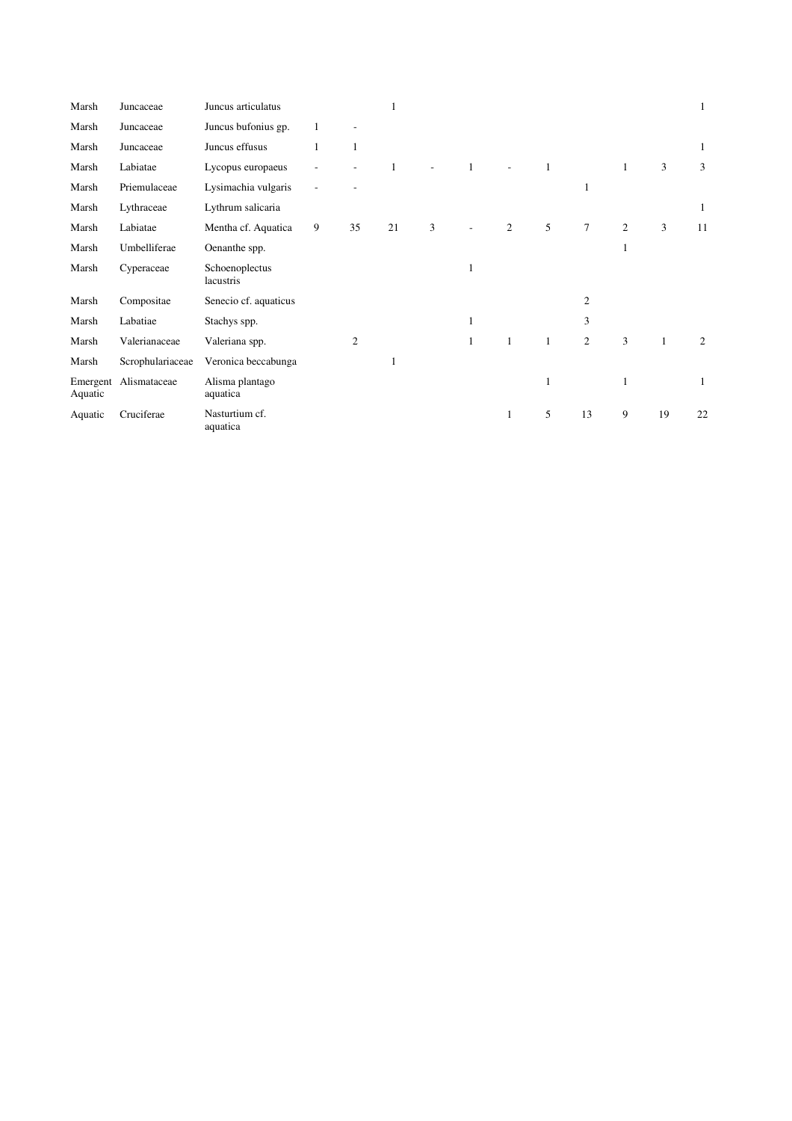| Marsh               | Juncaceae        | Juncus articulatus          |   |                | 1  |   |              |                |              |                |                |              | $\mathbf{1}$ |
|---------------------|------------------|-----------------------------|---|----------------|----|---|--------------|----------------|--------------|----------------|----------------|--------------|--------------|
| Marsh               | Juncaceae        | Juncus bufonius gp.         | 1 |                |    |   |              |                |              |                |                |              |              |
| Marsh               | Juncaceae        | Juncus effusus              | 1 | 1              |    |   |              |                |              |                |                |              | $\mathbf{1}$ |
| Marsh               | Labiatae         | Lycopus europaeus           |   |                |    |   | $\mathbf{1}$ |                | 1            |                |                | 3            | 3            |
| Marsh               | Priemulaceae     | Lysimachia vulgaris         |   |                |    |   |              |                |              | 1              |                |              |              |
| Marsh               | Lythraceae       | Lythrum salicaria           |   |                |    |   |              |                |              |                |                |              | 1            |
| Marsh               | Labiatae         | Mentha cf. Aquatica         | 9 | 35             | 21 | 3 |              | $\overline{c}$ | 5            | $\overline{7}$ | 2              | 3            | 11           |
| Marsh               | Umbelliferae     | Oenanthe spp.               |   |                |    |   |              |                |              |                | 1              |              |              |
| Marsh               | Cyperaceae       | Schoenoplectus<br>lacustris |   |                |    |   | 1            |                |              |                |                |              |              |
| Marsh               | Compositae       | Senecio cf. aquaticus       |   |                |    |   |              |                |              | $\mathfrak{2}$ |                |              |              |
| Marsh               | Labatiae         | Stachys spp.                |   |                |    |   | 1            |                |              | 3              |                |              |              |
| Marsh               | Valerianaceae    | Valeriana spp.              |   | $\overline{c}$ |    |   | $\mathbf{1}$ | $\mathbf{1}$   | $\mathbf{1}$ | $\overline{2}$ | $\overline{3}$ | $\mathbf{1}$ | 2            |
| Marsh               | Scrophulariaceae | Veronica beccabunga         |   |                |    |   |              |                |              |                |                |              |              |
| Emergent<br>Aquatic | Alismataceae     | Alisma plantago<br>aquatica |   |                |    |   |              |                | 1            |                | 1              |              | 1            |
| Aquatic             | Cruciferae       | Nasturtium cf.<br>aquatica  |   |                |    |   |              | 1              | 5            | 13             | 9              | 19           | 22           |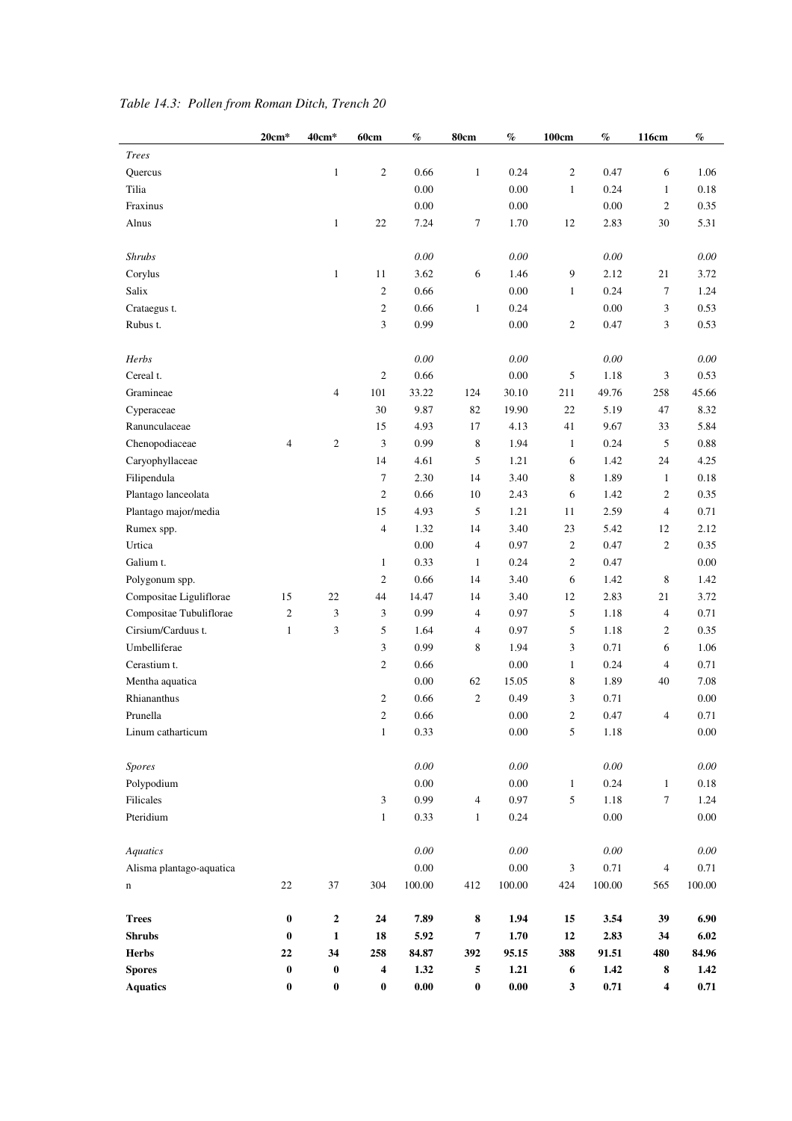|                          | 20cm*            | 40cm*          | 60cm                    | $\%$                | 80cm           | $\%$                | 100cm            | $\%$     | 116cm                   | $\%$     |
|--------------------------|------------------|----------------|-------------------------|---------------------|----------------|---------------------|------------------|----------|-------------------------|----------|
| <b>Trees</b>             |                  |                |                         |                     |                |                     |                  |          |                         |          |
| Quercus                  |                  | $\mathbf{1}$   | $\sqrt{2}$              | 0.66                | $\mathbf{1}$   | 0.24                | $\overline{c}$   | 0.47     | 6                       | 1.06     |
| Tilia                    |                  |                |                         | 0.00                |                | 0.00                | $\mathbf{1}$     | 0.24     | $\mathbf{1}$            | 0.18     |
| Fraxinus                 |                  |                |                         | 0.00                |                | 0.00                |                  | 0.00     | $\overline{c}$          | 0.35     |
| Alnus                    |                  | $\mathbf{1}$   | 22                      | 7.24                | 7              | 1.70                | 12               | 2.83     | 30                      | 5.31     |
|                          |                  |                |                         |                     |                |                     |                  |          |                         |          |
| <b>Shrubs</b>            |                  |                |                         | 0.00                |                | 0.00                |                  | 0.00     |                         | 0.00     |
| Corylus                  |                  | $\mathbf{1}$   | 11                      | 3.62                | 6              | 1.46                | 9                | 2.12     | 21                      | 3.72     |
| Salix                    |                  |                | $\boldsymbol{2}$        | 0.66                |                | 0.00                | $\mathbf{1}$     | 0.24     | 7                       | 1.24     |
| Crataegus t.             |                  |                | $\sqrt{2}$              | 0.66                | $\mathbf{1}$   | 0.24                |                  | 0.00     | 3                       | 0.53     |
| Rubus t.                 |                  |                | 3                       | 0.99                |                | 0.00                | $\boldsymbol{2}$ | 0.47     | 3                       | 0.53     |
|                          |                  |                |                         |                     |                |                     |                  |          |                         |          |
| Herbs                    |                  |                |                         | $0.00\,$            |                | 0.00                |                  | 0.00     |                         | 0.00     |
| Cereal t.                |                  |                | $\boldsymbol{2}$        | 0.66                |                | 0.00                | 5                | 1.18     | 3                       | 0.53     |
| Gramineae                |                  | $\overline{4}$ | 101                     | 33.22               | 124            | 30.10               | 211              | 49.76    | 258                     | 45.66    |
| Cyperaceae               |                  |                | 30                      | 9.87                | 82             | 19.90               | 22               | 5.19     | 47                      | 8.32     |
| Ranunculaceae            |                  |                | 15                      | 4.93                | 17             | 4.13                | 41               | 9.67     | 33                      | 5.84     |
| Chenopodiaceae           | $\overline{4}$   | $\mathfrak{2}$ | 3                       | 0.99                | 8              | 1.94                | $\mathbf{1}$     | 0.24     | 5                       | 0.88     |
| Caryophyllaceae          |                  |                | 14                      | 4.61                | 5              | 1.21                | 6                | 1.42     | 24                      | 4.25     |
| Filipendula              |                  |                | $\tau$                  | 2.30                | 14             | 3.40                | 8                | 1.89     | $\mathbf{1}$            | 0.18     |
| Plantago lanceolata      |                  |                | $\boldsymbol{2}$        | 0.66                | 10             | 2.43                | 6                | 1.42     | $\mathfrak{2}$          | 0.35     |
| Plantago major/media     |                  |                | 15                      | 4.93                | 5              | 1.21                | 11               | 2.59     | $\overline{4}$          | 0.71     |
| Rumex spp.               |                  |                | $\overline{4}$          | 1.32                | 14             | 3.40                | 23               | 5.42     | 12                      | 2.12     |
| Urtica                   |                  |                |                         | $0.00\,$            | $\overline{4}$ | 0.97                | $\mathbf{2}$     | 0.47     | $\overline{c}$          | 0.35     |
| Galium t.                |                  |                | $\mathbf{1}$            | 0.33                | $\mathbf{1}$   | 0.24                | $\mathfrak{2}$   | 0.47     |                         | 0.00     |
| Polygonum spp.           |                  |                | $\boldsymbol{2}$        | 0.66                | 14             | 3.40                | 6                | 1.42     | 8                       | 1.42     |
| Compositae Liguliflorae  | 15               | 22             | 44                      | 14.47               | 14             | 3.40                | 12               | 2.83     | 21                      | 3.72     |
| Compositae Tubuliflorae  | $\overline{c}$   | 3              | $\mathfrak{Z}$          | 0.99                | $\overline{4}$ | 0.97                | 5                | 1.18     | $\overline{4}$          | 0.71     |
| Cirsium/Carduus t.       | $\mathbf{1}$     | 3              | 5                       | 1.64                | $\overline{4}$ | 0.97                | 5                | 1.18     | 2                       | 0.35     |
| Umbelliferae             |                  |                | 3                       | 0.99                | 8              | 1.94                | 3                | 0.71     | 6                       | 1.06     |
| Cerastium t.             |                  |                | $\boldsymbol{2}$        | 0.66                |                | 0.00                | $\mathbf{1}$     | 0.24     | $\overline{4}$          | 0.71     |
| Mentha aquatica          |                  |                |                         | $0.00\,$            | 62             | 15.05               | 8                | 1.89     | 40                      | 7.08     |
| Rhiananthus              |                  |                | $\overline{c}$          | 0.66                | $\sqrt{2}$     | 0.49                | 3                | 0.71     |                         | $0.00\,$ |
| Prunella                 |                  |                | $\mathbf{2}$            | 0.66                |                | 0.00                | $\overline{2}$   | 0.47     | $\overline{4}$          | 0.71     |
| Linum catharticum        |                  |                | $\,1\,$                 | 0.33                |                | $0.00\,$            | $\sqrt{5}$       | 1.18     |                         | $0.00\,$ |
|                          |                  |                |                         |                     |                |                     |                  |          |                         |          |
| Spores                   |                  |                |                         | $0.00\,$            |                | $0.00\,$            |                  | $0.00\,$ |                         | $0.00\,$ |
| Polypodium               |                  |                |                         | $0.00\,$            |                | 0.00                | $\mathbf{1}$     | 0.24     | $\mathbf{1}$            | 0.18     |
| Filicales                |                  |                | $\mathfrak{Z}$          | 0.99                | $\overline{4}$ | 0.97                | $\sqrt{5}$       | 1.18     | $\tau$                  | 1.24     |
| Pteridium                |                  |                | $\mathbf{1}$            | 0.33                | $\mathbf{1}$   | 0.24                |                  | $0.00\,$ |                         | $0.00\,$ |
|                          |                  |                |                         |                     |                |                     |                  |          |                         |          |
| <b>Aquatics</b>          |                  |                |                         | $0.00\,$            |                | $0.00\,$            |                  | 0.00     |                         | $0.00\,$ |
| Alisma plantago-aquatica |                  |                |                         | $0.00\,$            |                | $0.00\,$            | $\mathfrak{Z}$   | 0.71     | $\overline{4}$          | 0.71     |
| n                        | $22\,$           | 37             | 304                     | 100.00              | 412            | 100.00              | 424              | 100.00   | 565                     | 100.00   |
|                          |                  |                |                         |                     |                |                     |                  |          |                         |          |
| <b>Trees</b>             | $\boldsymbol{0}$ | $\mathbf 2$    | 24                      | 7.89                | $\bf 8$        | 1.94                | 15               | 3.54     | 39                      | 6.90     |
| <b>Shrubs</b>            | $\bf{0}$         | $\mathbf{1}$   | ${\bf 18}$              | 5.92                | $\overline{7}$ | 1.70                | 12               | 2.83     | 34                      | 6.02     |
| <b>Herbs</b>             | 22               | 34             | 258                     | 84.87               | 392            | 95.15               | 388              | 91.51    | 480                     | 84.96    |
| <b>Spores</b>            | $\boldsymbol{0}$ | $\pmb{0}$      | $\overline{\mathbf{4}}$ | 1.32                | 5              | 1.21                | $\boldsymbol{6}$ | $1.42\,$ | 8                       | 1.42     |
| <b>Aquatics</b>          | $\bf{0}$         | $\pmb{0}$      | $\pmb{0}$               | $\boldsymbol{0.00}$ | $\pmb{0}$      | $\boldsymbol{0.00}$ | $\mathbf{3}$     | 0.71     | $\overline{\mathbf{4}}$ | 0.71     |

## *Table 14.3: Pollen from Roman Ditch, Trench 20*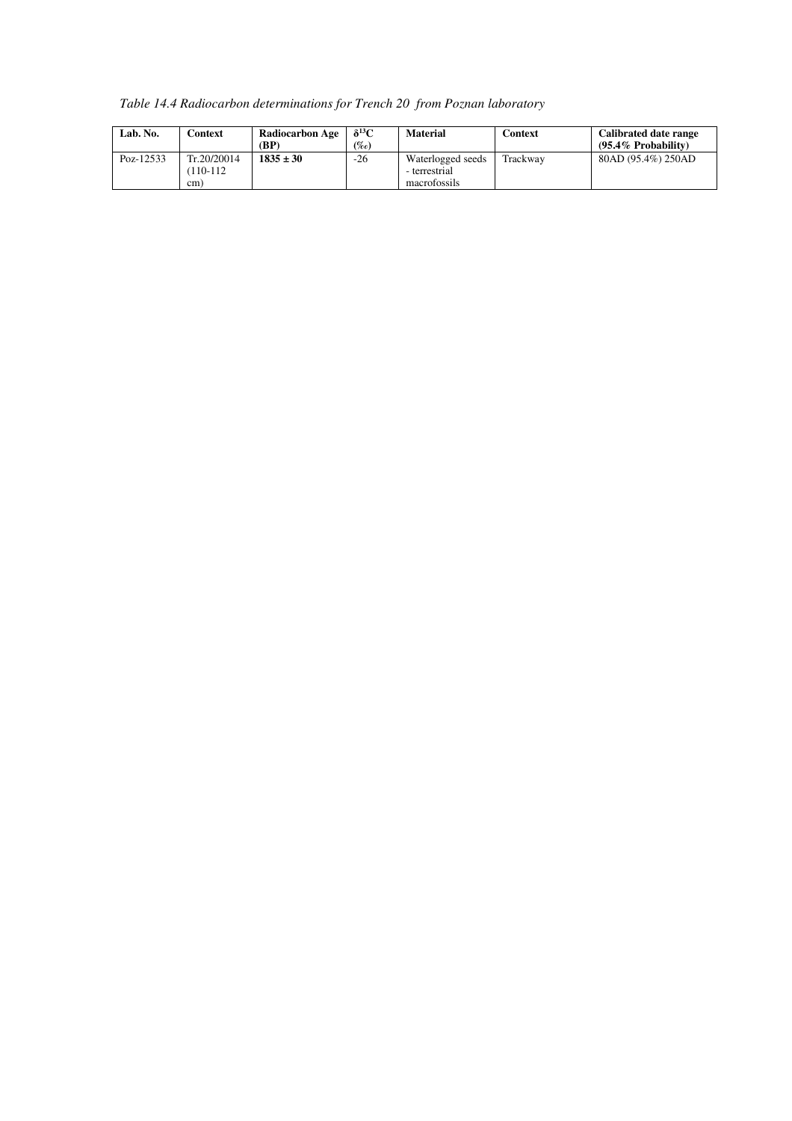*Table 14.4 Radiocarbon determinations for Trench 20 from Poznan laboratory* 

| Lab. No.  | Context                           | <b>Radiocarbon Age</b><br>(BP) | $\delta^{13}C$<br>(%o) | <b>Material</b>                                    | Context  | Calibrated date range<br>$(95.4\%$ Probability) |
|-----------|-----------------------------------|--------------------------------|------------------------|----------------------------------------------------|----------|-------------------------------------------------|
| Poz-12533 | Tr.20/20014<br>$(110-112)$<br>cm) | $1835 \pm 30$                  | $-26$                  | Waterlogged seeds<br>- terrestrial<br>macrofossils | Trackway | 80AD (95.4%) 250AD                              |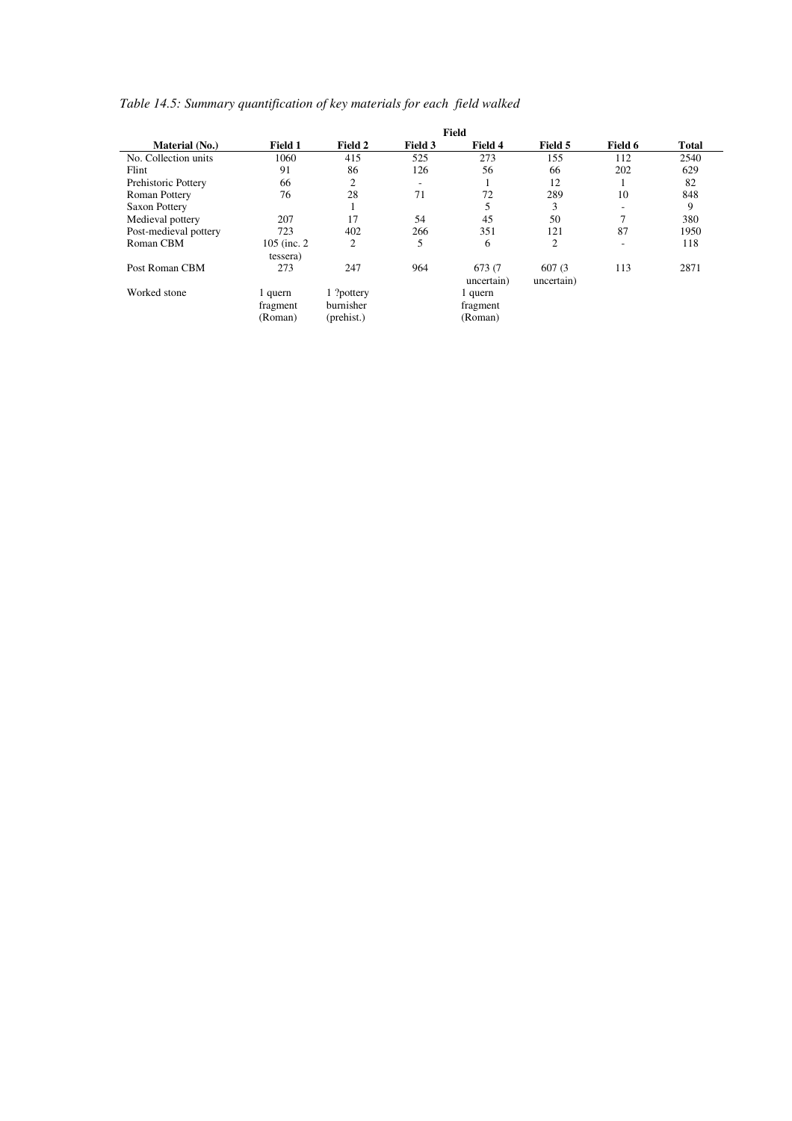## *Table 14.5: Summary quantification of key materials for each field walked*

| Material (No.)        | Field 1                        | Field 2                               | Field 3 | Field 4                        | Field 5               | Field 6                  | <b>Total</b> |
|-----------------------|--------------------------------|---------------------------------------|---------|--------------------------------|-----------------------|--------------------------|--------------|
| No. Collection units  | 1060                           | 415                                   | 525     | 273                            | 155                   | 112                      | 2540         |
| Flint                 | 91                             | 86                                    | 126     | 56                             | 66                    | 202                      | 629          |
| Prehistoric Pottery   | 66                             | $\overline{2}$                        | ٠       |                                | 12                    |                          | 82           |
| Roman Pottery         | 76                             | 28                                    | 71      | 72                             | 289                   | 10                       | 848          |
| Saxon Pottery         |                                |                                       |         |                                | 3                     |                          | 9            |
| Medieval pottery      | 207                            | 17                                    | 54      | 45                             | 50                    | 7                        | 380          |
| Post-medieval pottery | 723                            | 402                                   | 266     | 351                            | 121                   | 87                       | 1950         |
| Roman CBM             | 105 (inc. 2)                   | 2                                     | 5       | 6                              | 2                     | $\overline{\phantom{a}}$ | 118          |
|                       | tessera)                       |                                       |         |                                |                       |                          |              |
| Post Roman CBM        | 273                            | 247                                   | 964     | 673 (7<br>uncertain)           | 607 (3)<br>uncertain) | 113                      | 2871         |
| Worked stone          | 1 quern<br>fragment<br>(Roman) | 1 ?pottery<br>burnisher<br>(prehist.) |         | 1 quern<br>fragment<br>(Roman) |                       |                          |              |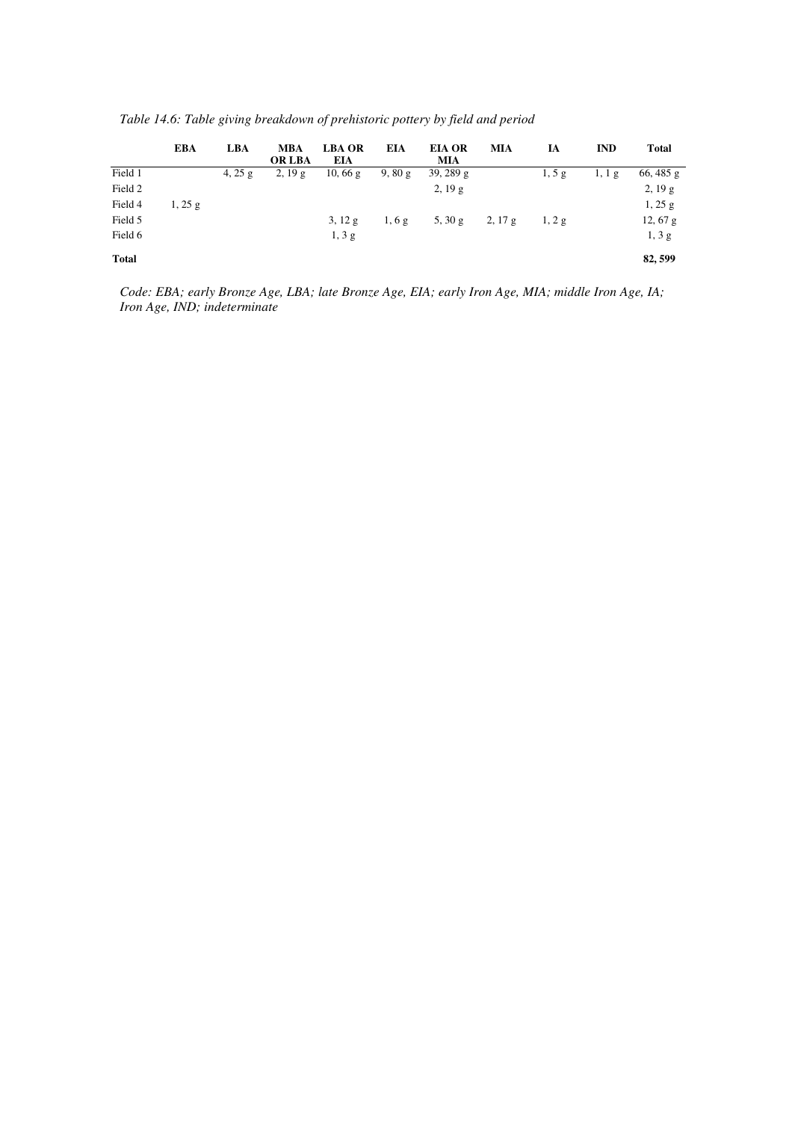|              | EBA   | <b>LBA</b> | <b>MBA</b><br><b>OR LBA</b> | <b>LBA OR</b><br>EIA | EIA   | <b>EIA OR</b><br><b>MIA</b> | MIA | IA       | <b>IND</b> | <b>Total</b> |
|--------------|-------|------------|-----------------------------|----------------------|-------|-----------------------------|-----|----------|------------|--------------|
| Field 1      |       | 4, $25 g$  | 2, 19g                      | 10,66g               | 9,80g | 39, 289 $g$                 |     | $1, 5$ g | 1, 1, g    | $66,485$ g   |
| Field 2      |       |            |                             |                      |       | $2, 19$ g                   |     |          |            | 2, 19g       |
| Field 4      | 1,25g |            |                             |                      |       |                             |     |          |            | 1,25g        |
| Field 5      |       |            |                             | $3, 12 \text{ g}$    | 1,6g  | $5, 30 \text{ g}$ 2, 17 g   |     | 1, 2g    |            | $12,67$ g    |
| Field 6      |       |            |                             | $1, 3$ g             |       |                             |     |          |            | $1, 3$ g     |
| <b>Total</b> |       |            |                             |                      |       |                             |     |          |            | 82,599       |

*Table 14.6: Table giving breakdown of prehistoric pottery by field and period* 

*Code: EBA; early Bronze Age, LBA; late Bronze Age, EIA; early Iron Age, MIA; middle Iron Age, IA; Iron Age, IND; indeterminate*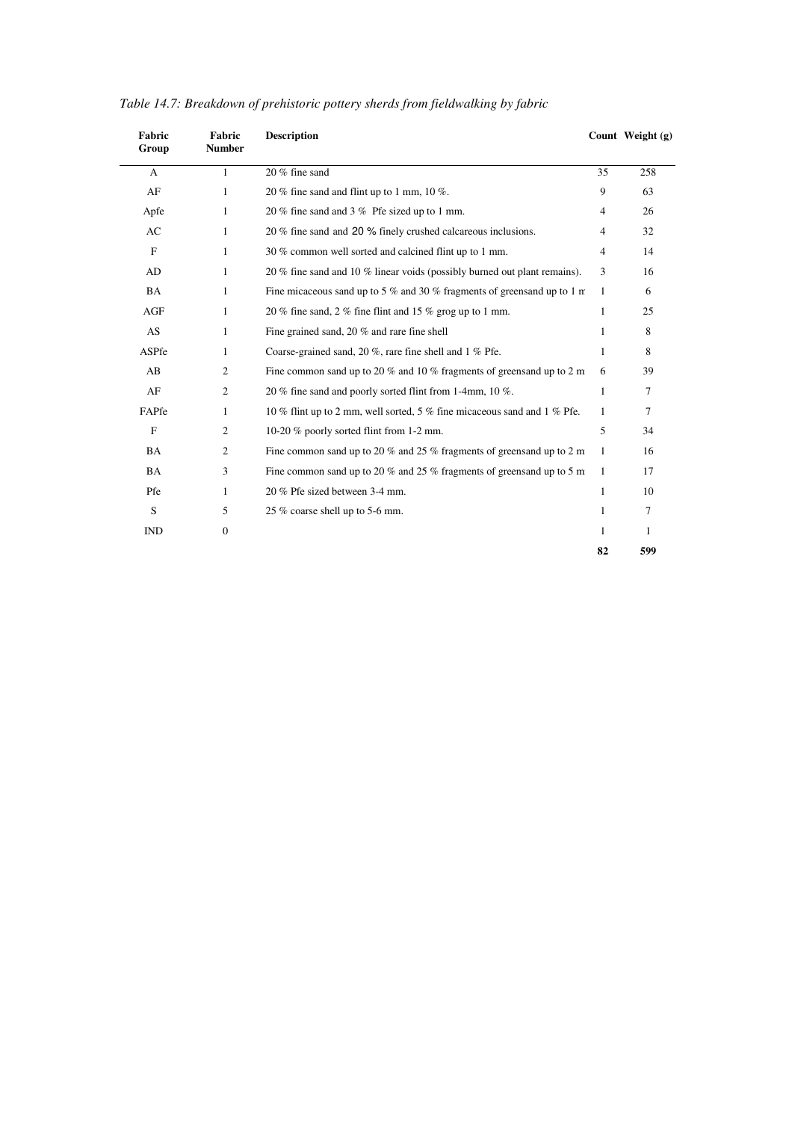| Fabric<br>Group | Fabric<br><b>Number</b> | <b>Description</b>                                                               |              | Count Weight (g) |
|-----------------|-------------------------|----------------------------------------------------------------------------------|--------------|------------------|
| $\mathbf{A}$    | $\mathbf{1}$            | 20 % fine sand                                                                   | 35           | 258              |
| AF              | 1                       | 20 % fine sand and flint up to 1 mm, 10 %.                                       | 9            | 63               |
| Apfe            | 1                       | 20 % fine sand and 3 % Pfe sized up to 1 mm.                                     | 4            | 26               |
| AC              | 1                       | 20 % fine sand and 20 % finely crushed calcareous inclusions.                    | 4            | 32               |
| $\mathbf{F}$    | 1                       | 30 % common well sorted and calcined flint up to 1 mm.                           | 4            | 14               |
| AD              | 1                       | 20 % fine sand and 10 % linear voids (possibly burned out plant remains).        | 3            | 16               |
| BA              | 1                       | Fine micaceous sand up to 5 % and 30 % fragments of greensand up to 1 $\text{m}$ | -1           | 6                |
| AGF             | 1                       | 20 % fine sand, 2 % fine flint and 15 % grog up to 1 mm.                         | $\mathbf{1}$ | 25               |
| AS              | $\mathbf{1}$            | Fine grained sand, 20 % and rare fine shell                                      | -1           | 8                |
| ASPfe           | 1                       | Coarse-grained sand, 20 %, rare fine shell and 1 % Pfe.                          | -1           | 8                |
| AB              | $\overline{c}$          | Fine common sand up to 20 $\%$ and 10 $\%$ fragments of greensand up to 2 m      | 6            | 39               |
| AF              | 2                       | 20 % fine sand and poorly sorted flint from 1-4mm, 10 %.                         | 1            | 7                |
| FAPfe           | 1                       | 10 % flint up to 2 mm, well sorted, 5 % fine micaceous sand and 1 % Pfe.         | $\mathbf{1}$ | 7                |
| F               | 2                       | 10-20 % poorly sorted flint from 1-2 mm.                                         | 5            | 34               |
| <b>BA</b>       | 2                       | Fine common sand up to 20 $\%$ and 25 $\%$ fragments of greensand up to 2 m      | -1           | 16               |
| <b>BA</b>       | 3                       | Fine common sand up to 20 % and 25 % fragments of greensand up to 5 m            | -1           | 17               |
| Pfe             | 1                       | 20 % Pfe sized between 3-4 mm.                                                   | 1            | 10               |
| S               | 5                       | 25 % coarse shell up to 5-6 mm.                                                  | 1            | 7                |
| <b>IND</b>      | $\boldsymbol{0}$        |                                                                                  | 1            | 1                |
|                 |                         |                                                                                  | 82           | 599              |

|  | Table 14.7: Breakdown of prehistoric pottery sherds from fieldwalking by fabric |  |  |  |
|--|---------------------------------------------------------------------------------|--|--|--|
|  |                                                                                 |  |  |  |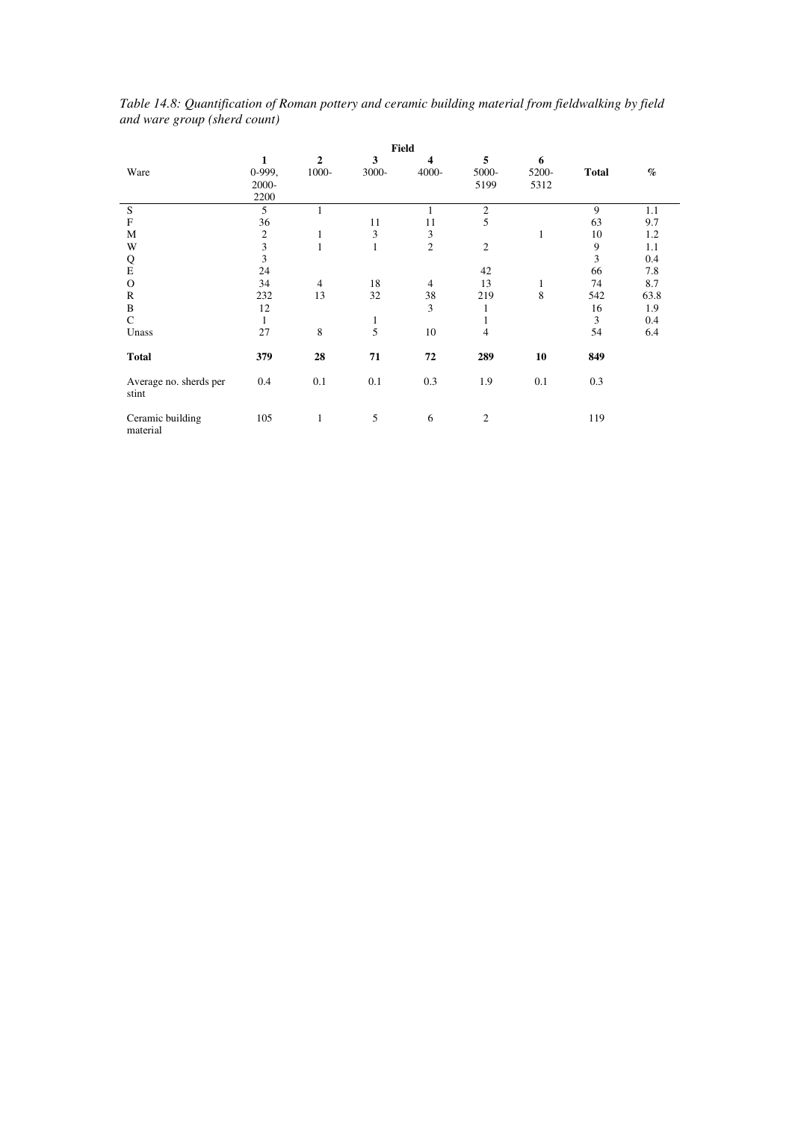|                                 |                                |                         |              | <b>Field</b>   |                    |                    |              |      |
|---------------------------------|--------------------------------|-------------------------|--------------|----------------|--------------------|--------------------|--------------|------|
| Ware                            | 1<br>$0-999,$<br>2000-<br>2200 | $\overline{2}$<br>1000- | 3<br>3000-   | 4<br>4000-     | 5<br>5000-<br>5199 | 6<br>5200-<br>5312 | <b>Total</b> | $\%$ |
| ${\bf S}$                       | 5                              | 1                       |              | 1              | $\overline{2}$     |                    | 9            | 1.1  |
| $\mathbf F$                     | 36                             |                         | 11           | 11             | 5                  |                    | 63           | 9.7  |
| $\mathbf M$                     | $\mathfrak{2}$                 | $\mathbf{1}$            | 3            | 3              |                    | $\mathbf{1}$       | 10           | 1.2  |
| W                               | 3                              | $\mathbf{1}$            | 1            | $\overline{c}$ | $\overline{2}$     |                    | 9            | 1.1  |
| Q                               | 3                              |                         |              |                |                    |                    | 3            | 0.4  |
| ${\bf E}$                       | 24                             |                         |              |                | 42                 |                    | 66           | 7.8  |
| $\Omega$                        | 34                             | $\overline{4}$          | 18           | $\overline{4}$ | 13                 | $\mathbf{1}$       | 74           | 8.7  |
| $\mathbb{R}$                    | 232                            | 13                      | 32           | 38             | 219                | 8                  | 542          | 63.8 |
| $\, {\bf B}$                    | 12                             |                         |              | 3              | 1                  |                    | 16           | 1.9  |
| $\mathcal{C}$                   | 1                              |                         | $\mathbf{1}$ |                | 1                  |                    | 3            | 0.4  |
| Unass                           | 27                             | 8                       | 5            | 10             | 4                  |                    | 54           | 6.4  |
| <b>Total</b>                    | 379                            | 28                      | 71           | 72             | 289                | 10                 | 849          |      |
| Average no. sherds per<br>stint | 0.4                            | 0.1                     | 0.1          | 0.3            | 1.9                | 0.1                | 0.3          |      |
| Ceramic building<br>material    | 105                            | 1                       | 5            | 6              | $\overline{2}$     |                    | 119          |      |

*Table 14.8: Quantification of Roman pottery and ceramic building material from fieldwalking by field and ware group (sherd count)*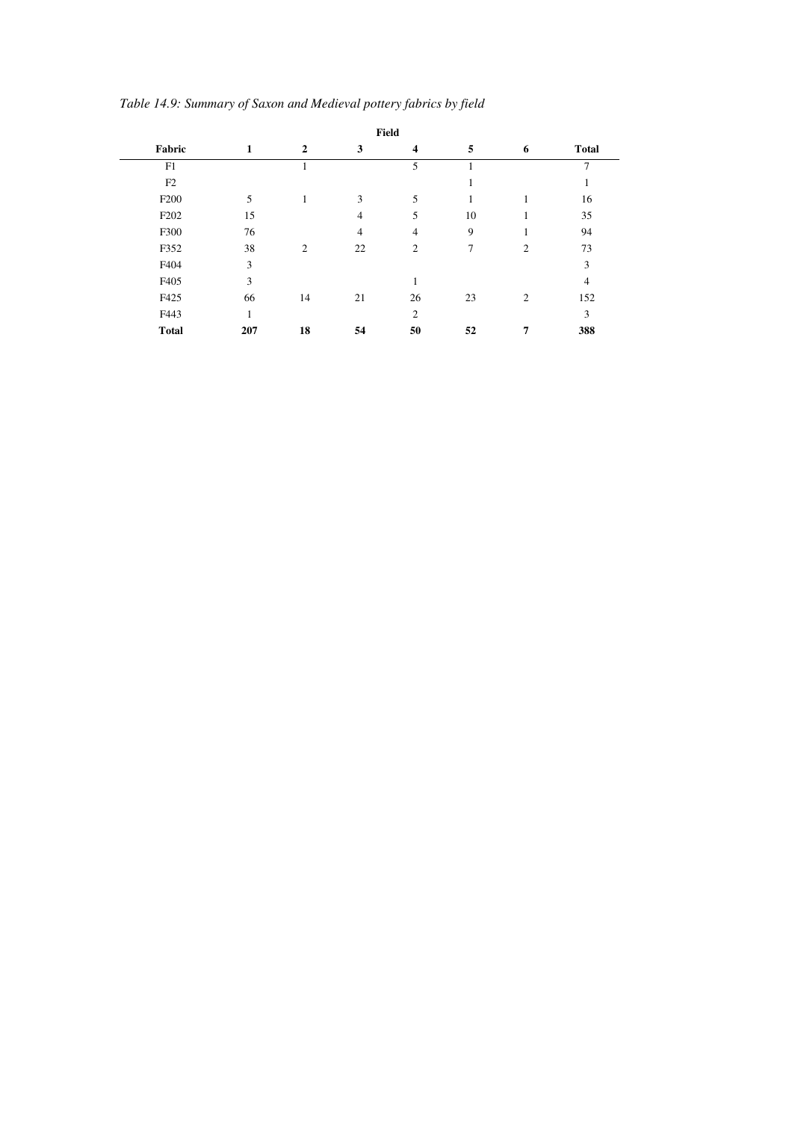|                  |     |                |                | Field                   |    |                |                |
|------------------|-----|----------------|----------------|-------------------------|----|----------------|----------------|
| Fabric           | 1   | $\overline{2}$ | 3              | $\overline{\mathbf{4}}$ | 5  | 6              | <b>Total</b>   |
| F1               |     |                |                | 5                       |    |                | $\overline{7}$ |
| F2               |     |                |                |                         |    |                |                |
| F <sub>200</sub> | 5   |                | 3              | 5                       | 1  |                | 16             |
| F <sub>202</sub> | 15  |                | $\overline{4}$ | 5                       | 10 |                | 35             |
| F300             | 76  |                | $\overline{4}$ | $\overline{4}$          | 9  |                | 94             |
| F352             | 38  | 2              | 22             | $\overline{2}$          | 7  | $\overline{2}$ | 73             |
| F404             | 3   |                |                |                         |    |                | 3              |
| F405             | 3   |                |                | 1                       |    |                | 4              |
| F425             | 66  | 14             | 21             | 26                      | 23 | $\overline{2}$ | 152            |
| F443             | 1   |                |                | $\overline{2}$          |    |                | 3              |
| <b>Total</b>     | 207 | 18             | 54             | 50                      | 52 | 7              | 388            |

*Table 14.9: Summary of Saxon and Medieval pottery fabrics by field*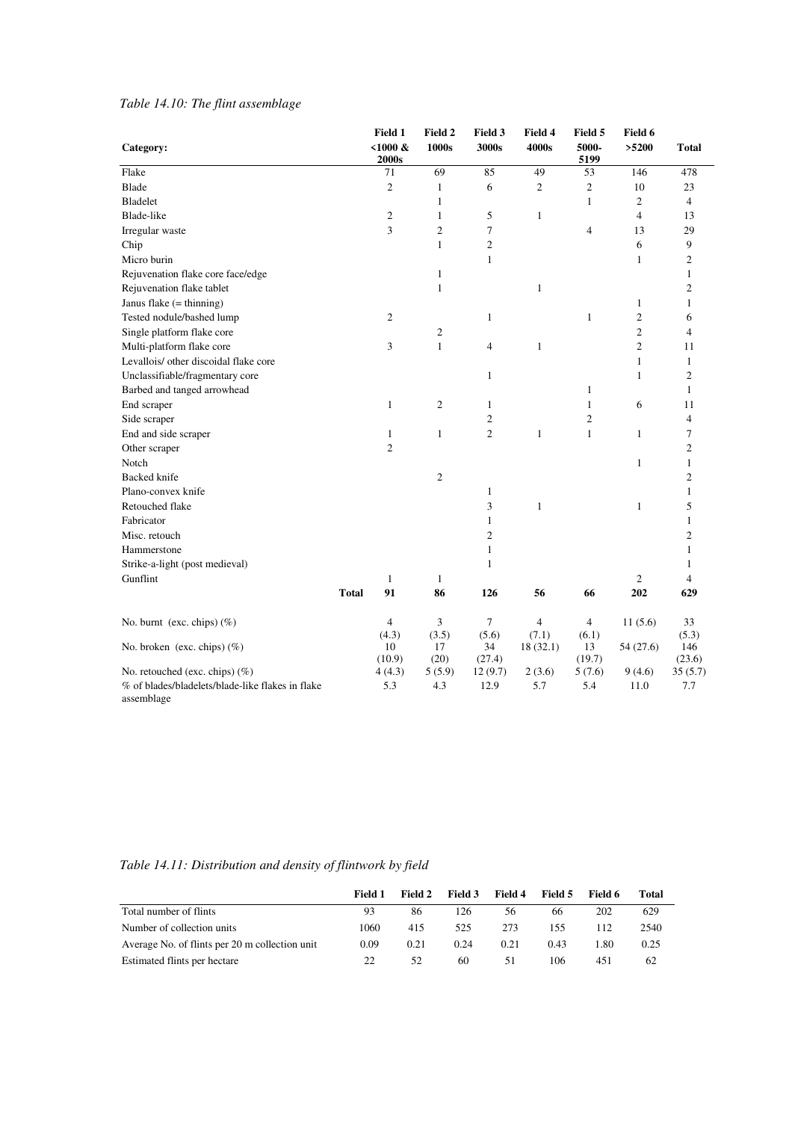## *Table 14.10: The flint assemblage*

| Category:                                        |              | Field 1<br>$< 1000 \&$ | Field 2<br>1000s | Field 3<br>3000s        | Field 4<br>4000s        | Field 5<br>5000- | Field 6<br>>5200 | <b>Total</b>   |
|--------------------------------------------------|--------------|------------------------|------------------|-------------------------|-------------------------|------------------|------------------|----------------|
|                                                  |              | 2000s                  |                  |                         |                         | 5199             |                  |                |
| Flake                                            |              | 71                     | 69               | 85                      | 49                      | 53               | 146              | 478            |
| <b>Blade</b>                                     |              | $\overline{c}$         | $\mathbf{1}$     | 6                       | $\mathfrak{2}$          | $\boldsymbol{2}$ | 10               | 23             |
| <b>Bladelet</b>                                  |              |                        | $\mathbf{1}$     |                         |                         | $\mathbf{1}$     | $\mathfrak{2}$   | $\overline{4}$ |
| Blade-like                                       |              | $\overline{c}$         | $\mathbf{1}$     | 5                       | $\mathbf{1}$            |                  | $\overline{4}$   | 13             |
| Irregular waste                                  |              | 3                      | $\overline{c}$   | 7                       |                         | $\overline{4}$   | 13               | 29             |
| Chip                                             |              |                        | $\mathbf{1}$     | $\mathfrak{2}$          |                         |                  | 6                | 9              |
| Micro burin                                      |              |                        |                  | $\mathbf{1}$            |                         |                  | $\mathbf{1}$     | $\overline{c}$ |
| Rejuvenation flake core face/edge                |              |                        | $\mathbf{1}$     |                         |                         |                  |                  | $\mathbf{1}$   |
| Rejuvenation flake tablet                        |              |                        | $\mathbf{1}$     |                         | $\mathbf{1}$            |                  |                  | $\mathbf{2}$   |
| Janus flake (= thinning)                         |              |                        |                  |                         |                         |                  | $\mathbf{1}$     | $\mathbf{1}$   |
| Tested nodule/bashed lump                        |              | $\overline{c}$         |                  | 1                       |                         | $\mathbf{1}$     | $\mathfrak{2}$   | 6              |
| Single platform flake core                       |              |                        | $\sqrt{2}$       |                         |                         |                  | $\mathfrak{2}$   | $\overline{4}$ |
| Multi-platform flake core                        |              | 3                      | $\mathbf{1}$     | $\overline{4}$          | $\mathbf{1}$            |                  | $\mathfrak{2}$   | 11             |
| Levallois/ other discoidal flake core            |              |                        |                  |                         |                         |                  | $\mathbf{1}$     | $\mathbf{1}$   |
| Unclassifiable/fragmentary core                  |              |                        |                  | $\mathbf{1}$            |                         |                  | $\mathbf{1}$     | $\overline{c}$ |
| Barbed and tanged arrowhead                      |              |                        |                  |                         |                         | $\mathbf{1}$     |                  | $\mathbf{1}$   |
| End scraper                                      |              | $\mathbf{1}$           | $\overline{c}$   | $\mathbf{1}$            |                         | $\mathbf{1}$     | 6                | 11             |
| Side scraper                                     |              |                        |                  | $\overline{\mathbf{c}}$ |                         | $\overline{c}$   |                  | 4              |
| End and side scraper                             |              | 1                      | $\mathbf{1}$     | $\overline{c}$          | 1                       | $\mathbf{1}$     | $\mathbf{1}$     | $\tau$         |
| Other scraper                                    |              | $\overline{c}$         |                  |                         |                         |                  |                  | 2              |
| Notch                                            |              |                        |                  |                         |                         |                  | $\mathbf{1}$     | 1              |
| Backed knife                                     |              |                        | $\overline{2}$   |                         |                         |                  |                  | $\overline{c}$ |
| Plano-convex knife                               |              |                        |                  | $\mathbf{1}$            |                         |                  |                  | 1              |
| Retouched flake                                  |              |                        |                  | 3                       | 1                       |                  | $\mathbf{1}$     | 5              |
| Fabricator                                       |              |                        |                  | $\mathbf{1}$            |                         |                  |                  | 1              |
| Misc. retouch                                    |              |                        |                  | $\overline{c}$          |                         |                  |                  | $\overline{c}$ |
| Hammerstone                                      |              |                        |                  | $\mathbf{1}$            |                         |                  |                  | 1              |
| Strike-a-light (post medieval)                   |              |                        |                  | 1                       |                         |                  |                  | 1              |
| Gunflint                                         |              | $\mathbf{1}$           | $\mathbf{1}$     |                         |                         |                  | $\mathfrak{2}$   | 4              |
|                                                  | <b>Total</b> | 91                     | 86               | 126                     | 56                      | 66               | 202              | 629            |
| No. burnt (exc. chips) (%)                       |              | $\overline{4}$         | 3                | 7                       | $\overline{\mathbf{4}}$ | $\overline{4}$   | 11(5.6)          | 33             |
|                                                  |              | (4.3)                  | (3.5)            | (5.6)                   | (7.1)                   | (6.1)            |                  | (5.3)          |
| No. broken (exc. chips) $(\%)$                   |              | 10<br>(10.9)           | 17<br>(20)       | 34<br>(27.4)            | 18(32.1)                | 13<br>(19.7)     | 54 (27.6)        | 146<br>(23.6)  |
| No. retouched (exc. chips) $(\%)$                |              | 4(4.3)                 | 5(5.9)           | 12(9.7)                 | 2(3.6)                  | 5(7.6)           | 9(4.6)           | 35(5.7)        |
| % of blades/bladelets/blade-like flakes in flake |              | 5.3                    | 4.3              | 12.9                    | 5.7                     | 5.4              | 11.0             | 7.7            |
| assemblage                                       |              |                        |                  |                         |                         |                  |                  |                |

*Table 14.11: Distribution and density of flintwork by field* 

|                                                | Field 1 | Field 2 | Field 3 | Field 4 | Field 5 | - Field 6 | Total |
|------------------------------------------------|---------|---------|---------|---------|---------|-----------|-------|
| Total number of flints                         | 93      | 86      | 126     | 56      | 66      | 202       | 629   |
| Number of collection units                     | 1060    | 415     | 525     | 273     | 155     | 112.      | 2540  |
| Average No. of flints per 20 m collection unit | 0.09    | 0.21    | 0.24    | 0.21    | 0.43    | 1.80      | 0.25  |
| Estimated flints per hectare                   | 22      | 52      | 60      | 51      | 106     | 451       | 62    |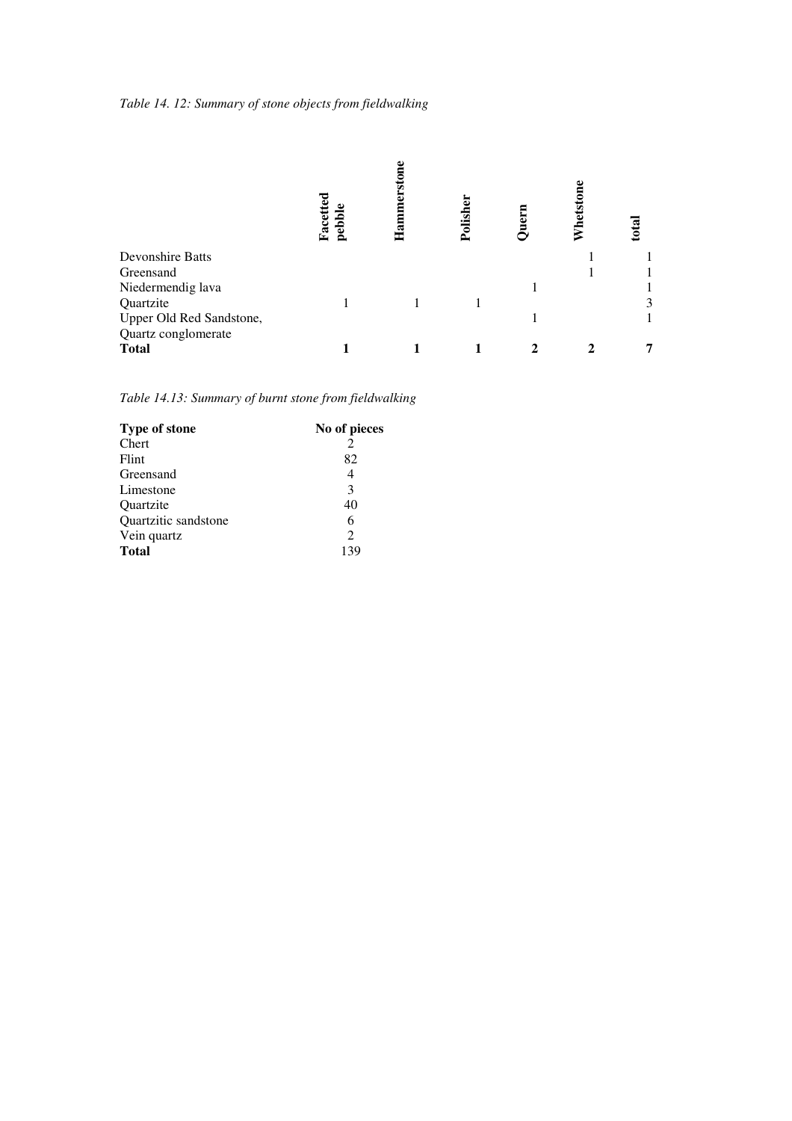*Table 14. 12: Summary of stone objects from fieldwalking* 

|                          | pebbl <sub>v</sub><br>Facet | ಷ<br>Τ | Polish | $_{\rm{hets}}$ | total |
|--------------------------|-----------------------------|--------|--------|----------------|-------|
| Devonshire Batts         |                             |        |        |                |       |
| Greensand                |                             |        |        |                |       |
| Niedermendig lava        |                             |        |        |                |       |
| Quartzite                |                             |        |        |                | 3     |
| Upper Old Red Sandstone, |                             |        |        |                |       |
| Quartz conglomerate      |                             |        |        |                |       |
| <b>Total</b>             |                             |        |        |                |       |

*Table 14.13: Summary of burnt stone from fieldwalking* 

| <b>Type of stone</b> | No of pieces                |
|----------------------|-----------------------------|
| Chert                |                             |
| Flint                | 82                          |
| Greensand            |                             |
| Limestone            | 3                           |
| Quartzite            | 40                          |
| Quartzitic sandstone | 6                           |
| Vein quartz          | $\mathcal{D}_{\mathcal{L}}$ |
| <b>Total</b>         | 139                         |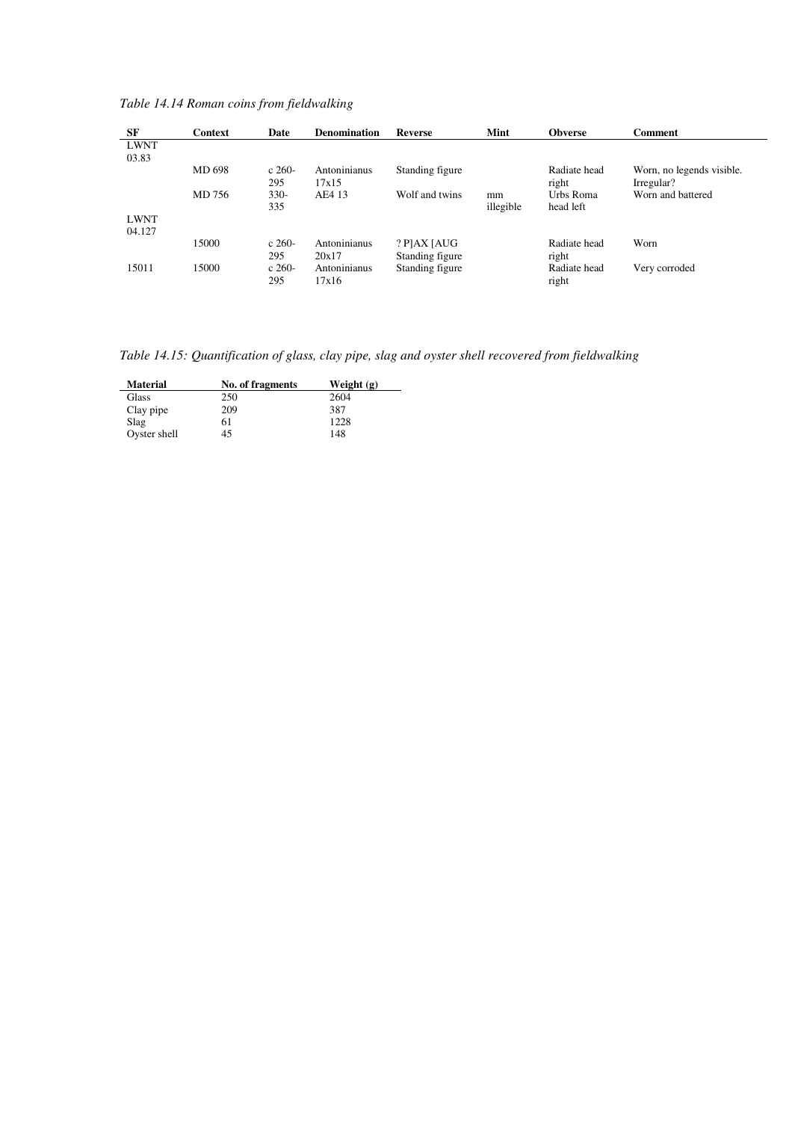*Table 14.14 Roman coins from fieldwalking* 

| SF          | <b>Context</b> | Date    | <b>Denomination</b> | <b>Reverse</b>  | Mint      | <b>Obverse</b> | <b>Comment</b>            |
|-------------|----------------|---------|---------------------|-----------------|-----------|----------------|---------------------------|
| <b>LWNT</b> |                |         |                     |                 |           |                |                           |
| 03.83       |                |         |                     |                 |           |                |                           |
|             | MD 698         | $c260-$ | Antoninianus        | Standing figure |           | Radiate head   | Worn, no legends visible. |
|             |                | 295     | 17x15               |                 |           | right          | Irregular?                |
|             | MD 756         | $330-$  | AE4 13              | Wolf and twins  | mm        | Urbs Roma      | Worn and battered         |
|             |                | 335     |                     |                 | illegible | head left      |                           |
| <b>LWNT</b> |                |         |                     |                 |           |                |                           |
| 04.127      |                |         |                     |                 |           |                |                           |
|             | 15000          | $c260-$ | Antoninianus        | $?$ P]AX [AUG   |           | Radiate head   | Worn                      |
|             |                | 295     | 20x17               | Standing figure |           | right          |                           |
| 15011       | 15000          | $c260-$ | Antoninianus        | Standing figure |           | Radiate head   | Very corroded             |
|             |                | 295     | 17x16               |                 |           | right          |                           |

*Table 14.15: Quantification of glass, clay pipe, slag and oyster shell recovered from fieldwalking* 

| <b>Material</b> | No. of fragments | Weight $(g)$ |
|-----------------|------------------|--------------|
| Glass           | 250              | 2604         |
| Clay pipe       | 209              | 387          |
| Slag            | 61               | 1228         |
| Oyster shell    | 45               | 148          |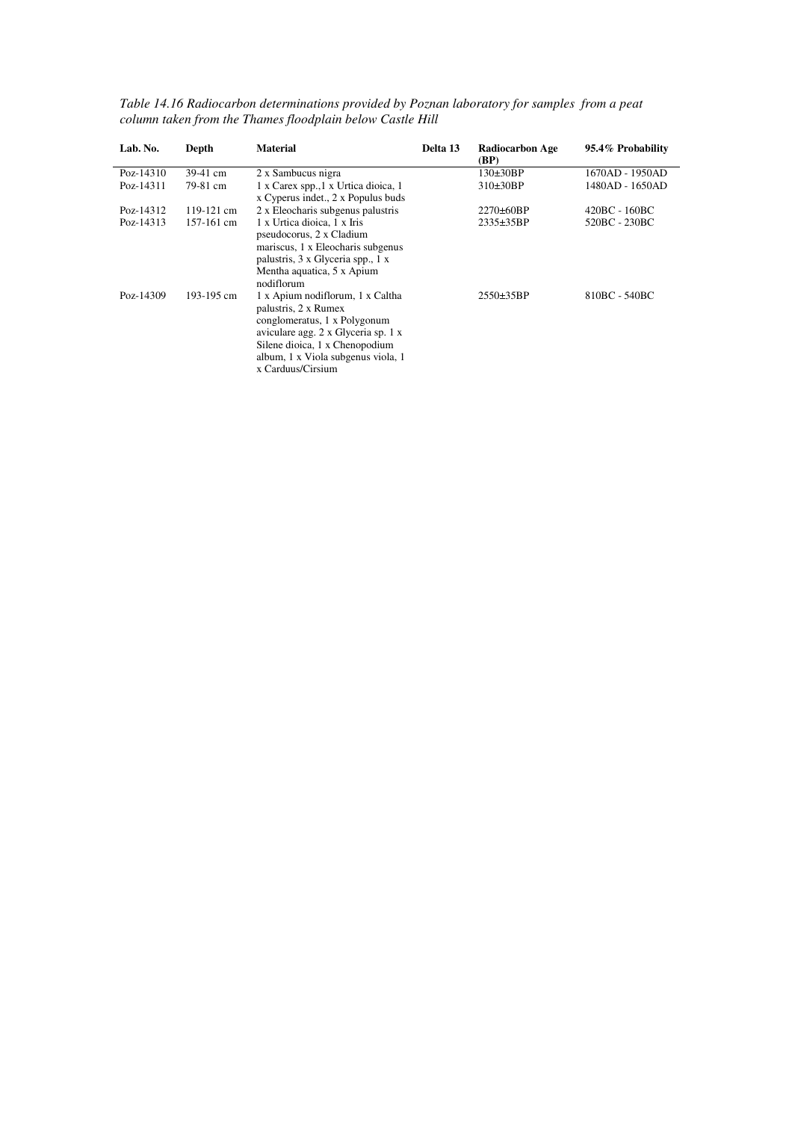| Lab. No.  | Depth        | <b>Material</b>                                                                                                                                                                                                              | Delta 13 | <b>Radiocarbon Age</b><br>(BP) | 95.4% Probability |
|-----------|--------------|------------------------------------------------------------------------------------------------------------------------------------------------------------------------------------------------------------------------------|----------|--------------------------------|-------------------|
| Poz-14310 | 39-41 cm     | 2 x Sambucus nigra                                                                                                                                                                                                           |          | $130\pm30BP$                   | 1670AD - 1950AD   |
| Poz-14311 | 79-81 cm     | 1 x Carex spp., 1 x Urtica dioica, 1<br>x Cyperus indet., 2 x Populus buds                                                                                                                                                   |          | $310\pm30BP$                   | 1480AD - 1650AD   |
| Poz-14312 | 119-121 cm   | 2 x Eleocharis subgenus palustris                                                                                                                                                                                            |          | $2270\pm60BP$                  | 420BC - 160BC     |
| Poz-14313 | $157-161$ cm | 1 x Urtica dioica, 1 x Iris<br>pseudocorus, 2 x Cladium<br>mariscus, 1 x Eleocharis subgenus<br>palustris, 3 x Glyceria spp., 1 x<br>Mentha aquatica, 5 x Apium<br>nodiflorum                                                |          | $2335 \pm 35BP$                | 520BC - 230BC     |
| Poz-14309 | 193-195 cm   | 1 x Apium nodiflorum, 1 x Caltha<br>palustris, 2 x Rumex<br>conglomeratus, 1 x Polygonum<br>aviculare agg. 2 x Glyceria sp. 1 x<br>Silene dioica, 1 x Chenopodium<br>album, 1 x Viola subgenus viola, 1<br>x Carduus/Cirsium |          | $2550 \pm 35BP$                | 810BC - 540BC     |

*Table 14.16 Radiocarbon determinations provided by Poznan laboratory for samples from a peat column taken from the Thames floodplain below Castle Hill*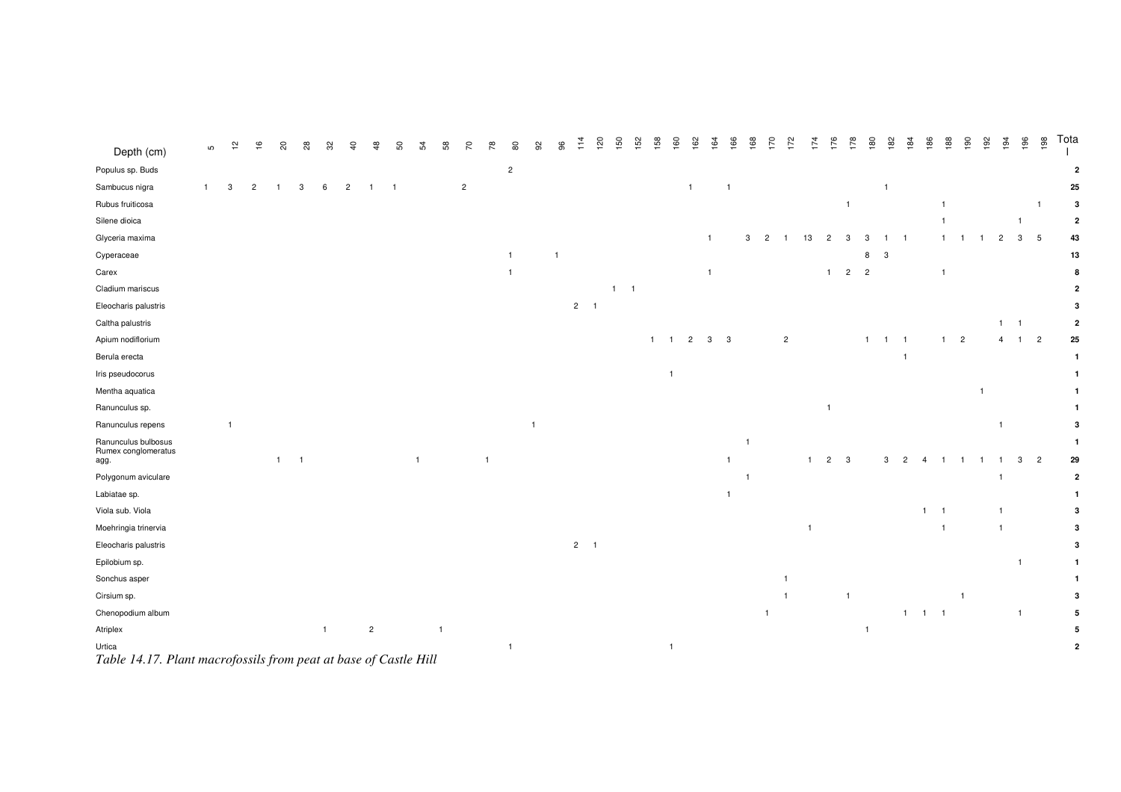| Depth (cm)                                                                 | ഗ            | $\frac{1}{2}$ | $\frac{6}{5}$  | S)             | 28             | ೫            | $\overline{a}$ |                | SO  | 54           | 58 | 20             | 78             | 80             |                | 96 |             | 120 | 150         | 152 | 158            | 160<br>162     | ò              | 66             | $\frac{8}{66}$ | 170            | 172            | 174 | 176            | 178                     | 180            | 182            | 184                   | 186                                        | 188                            | $^{190}$       | 192<br>194     | 196            | 198             | Tota           |
|----------------------------------------------------------------------------|--------------|---------------|----------------|----------------|----------------|--------------|----------------|----------------|-----|--------------|----|----------------|----------------|----------------|----------------|----|-------------|-----|-------------|-----|----------------|----------------|----------------|----------------|----------------|----------------|----------------|-----|----------------|-------------------------|----------------|----------------|-----------------------|--------------------------------------------|--------------------------------|----------------|----------------|----------------|-----------------|----------------|
| Populus sp. Buds                                                           |              |               |                |                |                |              |                |                |     |              |    |                |                | $\overline{c}$ |                |    |             |     |             |     |                |                |                |                |                |                |                |     |                |                         |                |                |                       |                                            |                                |                |                |                |                 | $\overline{2}$ |
| Sambucus nigra                                                             | $\mathbf{1}$ | 3             | $\overline{c}$ | $\overline{1}$ | 3              | 6            | $\overline{2}$ | $\mathbf{1}$   | - 1 |              |    | $\overline{2}$ |                |                |                |    |             |     |             |     |                | $\overline{1}$ |                | $\overline{1}$ |                |                |                |     |                |                         |                | $\overline{1}$ |                       |                                            |                                |                |                |                |                 | 25             |
| Rubus fruiticosa                                                           |              |               |                |                |                |              |                |                |     |              |    |                |                |                |                |    |             |     |             |     |                |                |                |                |                |                |                |     |                | $\overline{1}$          |                |                |                       |                                            |                                |                |                |                | $\overline{1}$  | 3              |
| Silene dioica                                                              |              |               |                |                |                |              |                |                |     |              |    |                |                |                |                |    |             |     |             |     |                |                |                |                |                |                |                |     |                |                         |                |                |                       |                                            |                                |                |                | $\overline{1}$ |                 | $\overline{2}$ |
| Glyceria maxima                                                            |              |               |                |                |                |              |                |                |     |              |    |                |                |                |                |    |             |     |             |     |                |                | $\overline{1}$ |                | 3              | $\overline{c}$ | $\overline{1}$ | 13  | $\overline{c}$ | 3                       | 3              |                | $\overline{1}$        |                                            |                                |                | $\overline{c}$ | $\mathbf{3}$   | $5\phantom{.0}$ | 43             |
| Cyperaceae                                                                 |              |               |                |                |                |              |                |                |     |              |    |                |                | $\overline{1}$ |                |    |             |     |             |     |                |                |                |                |                |                |                |     |                |                         | 8              | 3              |                       |                                            |                                |                |                |                |                 | 13             |
| Carex                                                                      |              |               |                |                |                |              |                |                |     |              |    |                |                |                |                |    |             |     |             |     |                |                | $\overline{1}$ |                |                |                |                |     | $\overline{1}$ | $\overline{2}$          | $\overline{c}$ |                |                       |                                            |                                |                |                |                |                 | 8              |
| Cladium mariscus                                                           |              |               |                |                |                |              |                |                |     |              |    |                |                |                |                |    |             |     | $1 \quad 1$ |     |                |                |                |                |                |                |                |     |                |                         |                |                |                       |                                            |                                |                |                |                |                 |                |
| Eleocharis palustris                                                       |              |               |                |                |                |              |                |                |     |              |    |                |                |                |                |    | $2 \quad 1$ |     |             |     |                |                |                |                |                |                |                |     |                |                         |                |                |                       |                                            |                                |                |                |                |                 |                |
| Caltha palustris                                                           |              |               |                |                |                |              |                |                |     |              |    |                |                |                |                |    |             |     |             |     |                |                |                |                |                |                |                |     |                |                         |                |                |                       |                                            |                                |                |                | $1 \quad 1$    |                 | 2              |
| Apium nodiflorium                                                          |              |               |                |                |                |              |                |                |     |              |    |                |                |                |                |    |             |     |             |     | $1 \quad 1$    | $\overline{c}$ | $3 \quad 3$    |                |                |                | $\overline{c}$ |     |                |                         | $-1$           | $1 \quad 1$    |                       |                                            | $\overline{c}$<br>$\mathbf{1}$ |                | $\overline{4}$ | $1 \quad 2$    |                 | 25             |
| Berula erecta                                                              |              |               |                |                |                |              |                |                |     |              |    |                |                |                |                |    |             |     |             |     |                |                |                |                |                |                |                |     |                |                         |                |                | $\overline{1}$        |                                            |                                |                |                |                |                 | -1             |
| Iris pseudocorus                                                           |              |               |                |                |                |              |                |                |     |              |    |                |                |                |                |    |             |     |             |     | $\overline{1}$ |                |                |                |                |                |                |     |                |                         |                |                |                       |                                            |                                |                |                |                |                 |                |
| Mentha aquatica                                                            |              |               |                |                |                |              |                |                |     |              |    |                |                |                |                |    |             |     |             |     |                |                |                |                |                |                |                |     |                |                         |                |                |                       |                                            |                                | $\overline{1}$ |                |                |                 |                |
| Ranunculus sp.                                                             |              |               |                |                |                |              |                |                |     |              |    |                |                |                |                |    |             |     |             |     |                |                |                |                |                |                |                |     | $\overline{1}$ |                         |                |                |                       |                                            |                                |                |                |                |                 |                |
| Ranunculus repens                                                          |              |               |                |                |                |              |                |                |     |              |    |                |                |                | $\overline{1}$ |    |             |     |             |     |                |                |                |                |                |                |                |     |                |                         |                |                |                       |                                            |                                |                | $\overline{1}$ |                |                 |                |
| Ranunculus bulbosus                                                        |              |               |                |                |                |              |                |                |     |              |    |                |                |                |                |    |             |     |             |     |                |                |                |                | $\overline{1}$ |                |                |     |                |                         |                |                |                       |                                            |                                |                |                |                |                 |                |
| Rumex conglomeratus<br>agg.                                                |              |               |                | $\mathbf{1}$   | $\overline{1}$ |              |                |                |     | $\mathbf{1}$ |    |                | $\overline{1}$ |                |                |    |             |     |             |     |                |                |                | $\overline{1}$ |                |                |                |     | $\overline{2}$ | $\overline{\mathbf{3}}$ |                | 3              | $\overline{2}$        | Δ                                          |                                |                |                | 3              | $\overline{c}$  | 29             |
| Polygonum aviculare                                                        |              |               |                |                |                |              |                |                |     |              |    |                |                |                |                |    |             |     |             |     |                |                |                |                | $\overline{1}$ |                |                |     |                |                         |                |                |                       |                                            |                                |                | $\overline{1}$ |                |                 | $\mathbf{2}$   |
| Labiatae sp.                                                               |              |               |                |                |                |              |                |                |     |              |    |                |                |                |                |    |             |     |             |     |                |                |                | $\overline{1}$ |                |                |                |     |                |                         |                |                |                       |                                            |                                |                |                |                |                 |                |
| Viola sub. Viola                                                           |              |               |                |                |                |              |                |                |     |              |    |                |                |                |                |    |             |     |             |     |                |                |                |                |                |                |                |     |                |                         |                |                |                       | $\mathbf{1}$<br>$\overline{\phantom{0}}$ 1 |                                |                | $\mathbf{1}$   |                |                 |                |
| Moehringia trinervia                                                       |              |               |                |                |                |              |                |                |     |              |    |                |                |                |                |    |             |     |             |     |                |                |                |                |                |                |                |     |                |                         |                |                |                       |                                            |                                |                | $\mathbf{1}$   |                |                 |                |
| Eleocharis palustris                                                       |              |               |                |                |                |              |                |                |     |              |    |                |                |                |                |    | $2 \quad 1$ |     |             |     |                |                |                |                |                |                |                |     |                |                         |                |                |                       |                                            |                                |                |                |                |                 |                |
| Epilobium sp.                                                              |              |               |                |                |                |              |                |                |     |              |    |                |                |                |                |    |             |     |             |     |                |                |                |                |                |                |                |     |                |                         |                |                |                       |                                            |                                |                |                | $\overline{1}$ |                 | 1.             |
| Sonchus asper                                                              |              |               |                |                |                |              |                |                |     |              |    |                |                |                |                |    |             |     |             |     |                |                |                |                |                |                | $\mathbf{1}$   |     |                |                         |                |                |                       |                                            |                                |                |                |                |                 |                |
| Cirsium sp.                                                                |              |               |                |                |                |              |                |                |     |              |    |                |                |                |                |    |             |     |             |     |                |                |                |                |                |                | $\mathbf{1}$   |     |                | $\overline{1}$          |                |                |                       |                                            |                                |                |                |                |                 |                |
| Chenopodium album                                                          |              |               |                |                |                |              |                |                |     |              |    |                |                |                |                |    |             |     |             |     |                |                |                |                |                | $\overline{1}$ |                |     |                |                         |                |                | $1 \qquad 1 \qquad 1$ |                                            |                                |                |                | $\overline{1}$ |                 |                |
| Atriplex                                                                   |              |               |                |                |                | $\mathbf{1}$ |                | $\overline{c}$ |     |              |    |                |                |                |                |    |             |     |             |     |                |                |                |                |                |                |                |     |                |                         | $\overline{1}$ |                |                       |                                            |                                |                |                |                |                 |                |
| Urtica<br>Table 14.17. Plant macrofossils from peat at base of Castle Hill |              |               |                |                |                |              |                |                |     |              |    |                |                | $\overline{1}$ |                |    |             |     |             |     | $\mathbf{1}$   |                |                |                |                |                |                |     |                |                         |                |                |                       |                                            |                                |                |                |                |                 | 2              |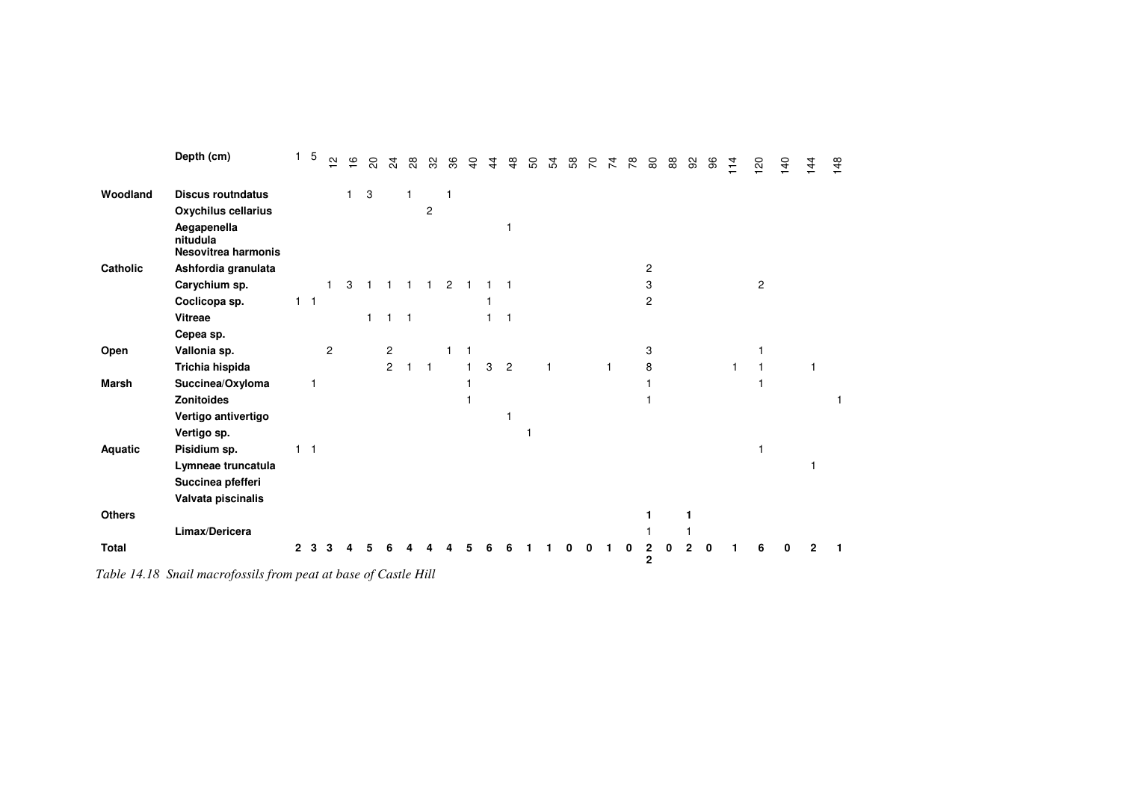|               | Depth (cm)                                     | 1            | 5              | $\sim$         | $\frac{6}{5}$ | $\overline{\mathcal{S}}$  | $\frac{5}{4}$  | $_{\rm 28}$  | 32             | 36            | $\overline{a}$ | $\frac{4}{4}$ | $\frac{8}{4}$  | 50 | 54 | 58 | $\mathcal{L}$ | $\overline{z}$ | 78 | $8^{\circ}$         | 88 | 92 | 96 | 114 | 120            | 140 | $\frac{14}{4}$ | 148 |
|---------------|------------------------------------------------|--------------|----------------|----------------|---------------|---------------------------|----------------|--------------|----------------|---------------|----------------|---------------|----------------|----|----|----|---------------|----------------|----|---------------------|----|----|----|-----|----------------|-----|----------------|-----|
| Woodland      | <b>Discus routndatus</b>                       |              |                |                | 1.            | $\ensuremath{\mathsf{3}}$ |                |              |                |               |                |               |                |    |    |    |               |                |    |                     |    |    |    |     |                |     |                |     |
|               | Oxychilus cellarius                            |              |                |                |               |                           |                |              | $\overline{2}$ |               |                |               |                |    |    |    |               |                |    |                     |    |    |    |     |                |     |                |     |
|               | Aegapenella<br>nitudula<br>Nesovitrea harmonis |              |                |                |               |                           |                |              |                |               |                |               |                |    |    |    |               |                |    |                     |    |    |    |     |                |     |                |     |
| Catholic      | Ashfordia granulata                            |              |                |                |               |                           |                |              |                |               |                |               |                |    |    |    |               |                |    | $\overline{c}$      |    |    |    |     |                |     |                |     |
|               | Carychium sp.                                  |              |                |                | 3             |                           |                |              |                | $\mathcal{P}$ |                |               |                |    |    |    |               |                |    | 3                   |    |    |    |     | $\overline{2}$ |     |                |     |
|               | Coclicopa sp.                                  |              | $1 \quad 1$    |                |               |                           |                |              |                |               |                |               |                |    |    |    |               |                |    | 2                   |    |    |    |     |                |     |                |     |
|               | Vitreae                                        |              |                |                |               | $\mathbf{1}$              |                | $\mathbf{1}$ |                |               |                |               |                |    |    |    |               |                |    |                     |    |    |    |     |                |     |                |     |
|               | Cepea sp.                                      |              |                |                |               |                           |                |              |                |               |                |               |                |    |    |    |               |                |    |                     |    |    |    |     |                |     |                |     |
| Open          | Vallonia sp.                                   |              |                | $\overline{c}$ |               |                           | 2              |              |                |               | 1              |               |                |    |    |    |               |                |    | 3                   |    |    |    |     |                |     |                |     |
|               | Trichia hispida                                |              |                |                |               |                           | $\overline{2}$ | 1            | $\mathbf{1}$   |               |                | 3             | $\overline{2}$ |    |    |    |               | $\mathbf 1$    |    | 8                   |    |    |    |     |                |     |                |     |
| <b>Marsh</b>  | Succinea/Oxyloma                               |              | 1              |                |               |                           |                |              |                |               |                |               |                |    |    |    |               |                |    |                     |    |    |    |     |                |     |                |     |
|               | <b>Zonitoides</b>                              |              |                |                |               |                           |                |              |                |               |                |               |                |    |    |    |               |                |    |                     |    |    |    |     |                |     |                |     |
|               | Vertigo antivertigo                            |              |                |                |               |                           |                |              |                |               |                |               |                |    |    |    |               |                |    |                     |    |    |    |     |                |     |                |     |
|               | Vertigo sp.                                    |              |                |                |               |                           |                |              |                |               |                |               |                |    |    |    |               |                |    |                     |    |    |    |     |                |     |                |     |
| Aquatic       | Pisidium sp.                                   |              | $\overline{1}$ |                |               |                           |                |              |                |               |                |               |                |    |    |    |               |                |    |                     |    |    |    |     |                |     |                |     |
|               | Lymneae truncatula                             |              |                |                |               |                           |                |              |                |               |                |               |                |    |    |    |               |                |    |                     |    |    |    |     |                |     |                |     |
|               | Succinea pfefferi                              |              |                |                |               |                           |                |              |                |               |                |               |                |    |    |    |               |                |    |                     |    |    |    |     |                |     |                |     |
|               | Valvata piscinalis                             |              |                |                |               |                           |                |              |                |               |                |               |                |    |    |    |               |                |    |                     |    |    |    |     |                |     |                |     |
| <b>Others</b> |                                                |              |                |                |               |                           |                |              |                |               |                |               |                |    |    |    |               |                |    |                     |    |    |    |     |                |     |                |     |
|               | Limax/Dericera                                 |              |                |                |               |                           |                |              |                |               |                |               |                |    |    |    |               |                |    |                     |    |    |    |     |                |     |                |     |
| <b>Total</b>  |                                                | $\mathbf{2}$ |                |                |               |                           |                |              |                |               |                |               |                |    |    |    |               |                |    | 2<br>$\overline{2}$ |    |    |    |     |                |     |                |     |

*Table 14.18 Snail macrofossils from peat at base of Castle Hill*